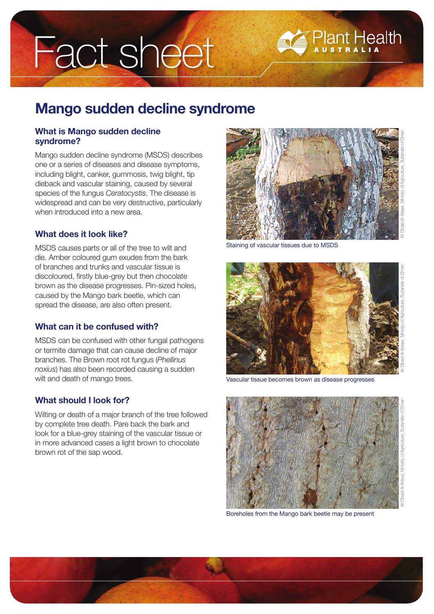# Fact sheet

# **Mango sudden decline syndrome**

## **What is Mango sudden decline syndrome?**

Mango sudden decline syndrome (MSDS) describes one or a series of diseases and disease symptoms, including blight, canker, gummosis, twig blight, tip dieback and vascular staining, caused by several species of the fungus *Ceratocystis*. The disease is widespread and can be very destructive, particularly when introduced into a new area.

# **What does it look like?**

MSDS causes parts or all of the tree to wilt and die. Amber coloured gum exudes from the bark of branches and trunks and vascular tissue is discoloured, firstly blue-grey but then chocolate brown as the disease progresses. Pin-sized holes, caused by the Mango bark beetle, which can spread the disease, are also often present.

# **What can it be confused with?**

MSDS can be confused with other fungal pathogens or termite damage that can cause decline of major branches. The Brown root rot fungus (*Phellinus noxius*) has also been recorded causing a sudden wilt and death of mango trees.

# **What should I look for?**

Wilting or death of a major branch of the tree followed by complete tree death. Pare back the bark and look for a blue-grey staining of the vascular tissue or in more advanced cases a light brown to chocolate brown rot of the sap wood.



**Plant Health** 

Staining of vascular tissues due to MSDS



Vascular tissue becomes brown as disease progresses



Boreholes from the Mango bark beetle may be present